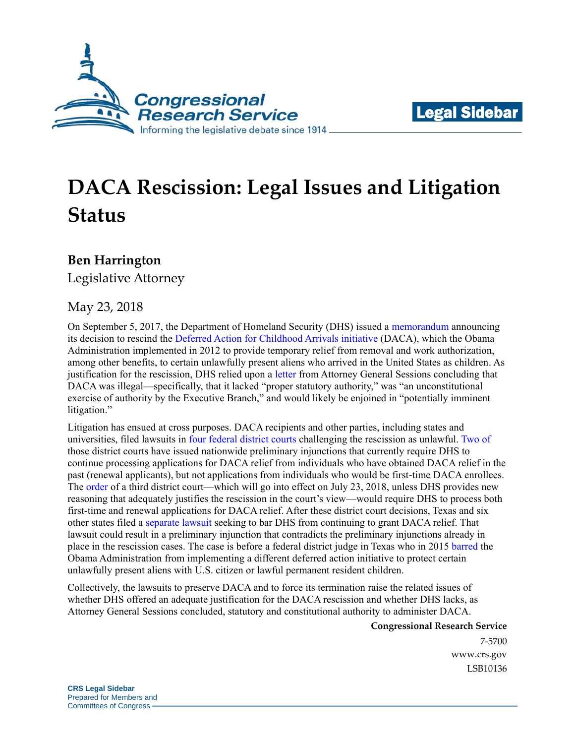



# **DACA Rescission: Legal Issues and Litigation Status**

#### **Ben Harrington**

Legislative Attorney

#### May 23, 2018

On September 5, 2017, the Department of Homeland Security (DHS) issued a [memorandum](https://www.dhs.gov/news/2017/09/05/memorandum-rescission-daca) announcing its decision to rescind the [Deferred Action for Childhood Arrivals initiative](https://fas.org/sgp/crs/homesec/R44764.pdf) (DACA), which the Obama Administration implemented in 2012 to provide temporary relief from removal and work authorization, among other benefits, to certain unlawfully present aliens who arrived in the United States as children. As justification for the rescission, DHS relied upon a [letter](https://www.dhs.gov/sites/default/files/publications/17_0904_DOJ_AG-letter-DACA.pdf) from Attorney General Sessions concluding that DACA was illegal—specifically, that it lacked "proper statutory authority," was "an unconstitutional exercise of authority by the Executive Branch," and would likely be enjoined in "potentially imminent litigation."

Litigation has ensued at cross purposes. DACA recipients and other parties, including states and universities, filed lawsuits in [four](https://assets.documentcloud.org/documents/4345906/1-9-18-DACA-Opinion.pdf) [federal](https://static.reuters.com/resources/media/editorial/20180213/nyvtrump--dacaPIopinion.pdf) [district](https://assets.documentcloud.org/documents/4403326/3-5-18-Casa-De-Maryland-Opinion.pdf) [courts](https://assets.documentcloud.org/documents/4446318/Microsoft-Princeton-Daca-20180424.pdf) challenging the rescission as unlawful. [Two](https://assets.documentcloud.org/documents/4345906/1-9-18-DACA-Opinion.pdf) [of](https://static.reuters.com/resources/media/editorial/20180213/nyvtrump--dacaPIopinion.pdf) those district courts have issued nationwide preliminary injunctions that currently require DHS to continue processing applications for DACA relief from individuals who have obtained DACA relief in the past (renewal applicants), but not applications from individuals who would be first-time DACA enrollees. The [order](https://assets.documentcloud.org/documents/4403326/3-5-18-Casa-De-Maryland-Opinion.pdf) of a third district court—which will go into effect on July 23, 2018, unless DHS provides new reasoning that adequately justifies the rescission in the court's view—would require DHS to process both first-time and renewal applications for DACA relief. After these district court decisions, Texas and six other states filed a [separate lawsuit](https://assets.documentcloud.org/documents/4450405/File-Stamped-Complaint.pdf) seeking to bar DHS from continuing to grant DACA relief. That lawsuit could result in a preliminary injunction that contradicts the preliminary injunctions already in place in the rescission cases. The case is before a federal district judge in Texas who in 2015 [barred](https://www.leagle.com/decision/infdco20150217f96) the Obama Administration from implementing a different deferred action initiative to protect certain unlawfully present aliens with U.S. citizen or lawful permanent resident children.

Collectively, the lawsuits to preserve DACA and to force its termination raise the related issues of whether DHS offered an adequate justification for the DACA rescission and whether DHS lacks, as Attorney General Sessions concluded, statutory and constitutional authority to administer DACA.

**Congressional Research Service**

7-5700 [www.crs.gov](http://www.crs.gov/) LSB10136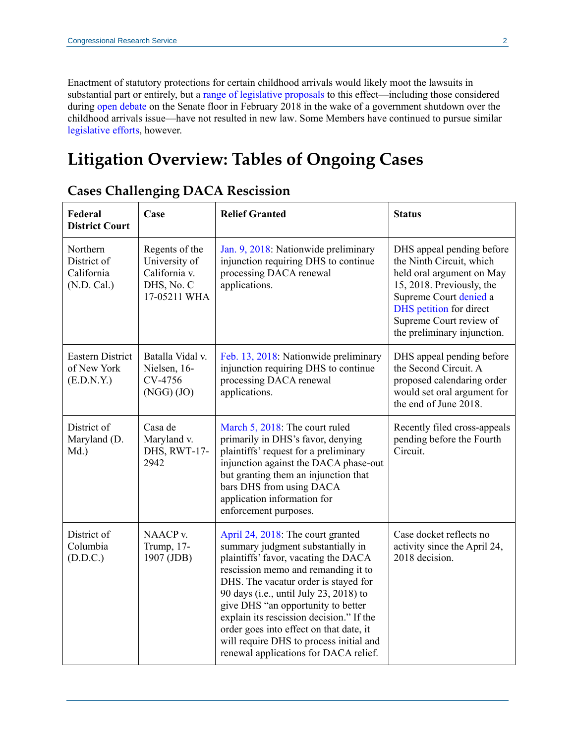Enactment of statutory protections for certain childhood arrivals would likely moot the lawsuits in substantial part or entirely, but a [range of legislative proposals](https://fas.org/sgp/crs/homesec/R45139.pdf) to this effect—including those considered during [open debate](https://www.newyorker.com/news/news-desk/the-senate-fails-to-act-on-daca-and-the-immigration-debate-moves-to-the-right) on the Senate floor in February 2018 in the wake of a government shutdown over the childhood arrivals issue—have not resulted in new law. Some Members have continued to pursue similar [legislative efforts,](https://www.washingtonpost.com/news/monkey-cage/wp/2018/05/10/some-moderate-republicans-are-trying-to-force-a-house-vote-on-daca-heres-what-that-means/?utm_term=.44e6fa06b0b3) however.

### **Litigation Overview: Tables of Ongoing Cases**

| Federal<br><b>District Court</b>                     | Case                                                                           | <b>Relief Granted</b>                                                                                                                                                                                                                                                                                                                                                                                                                                    | <b>Status</b>                                                                                                                                                                                                                  |
|------------------------------------------------------|--------------------------------------------------------------------------------|----------------------------------------------------------------------------------------------------------------------------------------------------------------------------------------------------------------------------------------------------------------------------------------------------------------------------------------------------------------------------------------------------------------------------------------------------------|--------------------------------------------------------------------------------------------------------------------------------------------------------------------------------------------------------------------------------|
| Northern<br>District of<br>California<br>(N.D. Cal.) | Regents of the<br>University of<br>California v.<br>DHS, No. C<br>17-05211 WHA | Jan. 9, 2018: Nationwide preliminary<br>injunction requiring DHS to continue<br>processing DACA renewal<br>applications.                                                                                                                                                                                                                                                                                                                                 | DHS appeal pending before<br>the Ninth Circuit, which<br>held oral argument on May<br>15, 2018. Previously, the<br>Supreme Court denied a<br>DHS petition for direct<br>Supreme Court review of<br>the preliminary injunction. |
| <b>Eastern District</b><br>of New York<br>(E.D.N.Y.) | Batalla Vidal v.<br>Nielsen, 16-<br>CV-4756<br>(NGG) (JO)                      | Feb. 13, 2018: Nationwide preliminary<br>injunction requiring DHS to continue<br>processing DACA renewal<br>applications.                                                                                                                                                                                                                                                                                                                                | DHS appeal pending before<br>the Second Circuit. A<br>proposed calendaring order<br>would set oral argument for<br>the end of June 2018.                                                                                       |
| District of<br>Maryland (D.<br>Md.)                  | Casa de<br>Maryland v.<br>DHS, RWT-17-<br>2942                                 | March 5, 2018: The court ruled<br>primarily in DHS's favor, denying<br>plaintiffs' request for a preliminary<br>injunction against the DACA phase-out<br>but granting them an injunction that<br>bars DHS from using DACA<br>application information for<br>enforcement purposes.                                                                                                                                                                        | Recently filed cross-appeals<br>pending before the Fourth<br>Circuit.                                                                                                                                                          |
| District of<br>Columbia<br>(D.D.C.)                  | NAACP <sub>v</sub> .<br>Trump, 17-<br>1907 (JDB)                               | April 24, 2018: The court granted<br>summary judgment substantially in<br>plaintiffs' favor, vacating the DACA<br>rescission memo and remanding it to<br>DHS. The vacatur order is stayed for<br>90 days (i.e., until July 23, 2018) to<br>give DHS "an opportunity to better<br>explain its rescission decision." If the<br>order goes into effect on that date, it<br>will require DHS to process initial and<br>renewal applications for DACA relief. | Case docket reflects no<br>activity since the April 24,<br>2018 decision.                                                                                                                                                      |

#### **Cases Challenging DACA Rescission**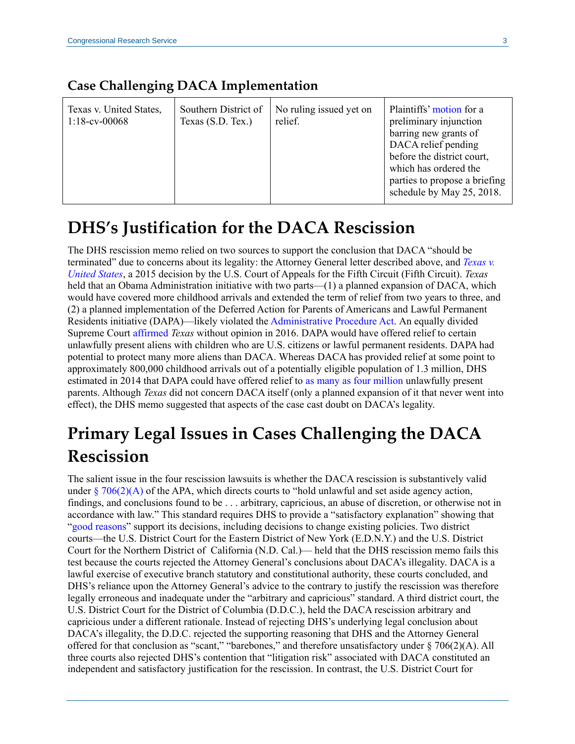| <b>Case Challenging DACA Implementation</b> |  |
|---------------------------------------------|--|
|---------------------------------------------|--|

| Texas v. United States,<br>$1:18$ -cv-00068 | Southern District of<br>Texas (S.D. Tex.) | No ruling issued yet on<br>relief. | Plaintiffs' motion for a<br>preliminary injunction<br>barring new grants of<br>DACA relief pending<br>before the district court,<br>which has ordered the<br>parties to propose a briefing<br>schedule by May 25, 2018. |
|---------------------------------------------|-------------------------------------------|------------------------------------|-------------------------------------------------------------------------------------------------------------------------------------------------------------------------------------------------------------------------|
|---------------------------------------------|-------------------------------------------|------------------------------------|-------------------------------------------------------------------------------------------------------------------------------------------------------------------------------------------------------------------------|

## **DHS's Justification for the DACA Rescission**

The DHS rescission memo relied on two sources to support the conclusion that DACA "should be terminated" due to concerns about its legality: the Attorney General letter described above, and *[Texas v.](http://www.ca5.uscourts.gov/opinions%5Cpub%5C15/15-40238-CV0.pdf)  [United States](http://www.ca5.uscourts.gov/opinions%5Cpub%5C15/15-40238-CV0.pdf)*, a 2015 decision by the U.S. Court of Appeals for the Fifth Circuit (Fifth Circuit). *Texas*  held that an Obama Administration initiative with two parts—(1) a planned expansion of DACA, which would have covered more childhood arrivals and extended the term of relief from two years to three, and (2) a planned implementation of the Deferred Action for Parents of Americans and Lawful Permanent Residents initiative (DAPA)—likely violated the [Administrative Procedure Act.](https://www.law.cornell.edu/uscode/text/5/part-I/chapter-5) An equally divided Supreme Court [affirmed](https://www.supremecourt.gov/opinions/15pdf/15-674_jhlo.pdf) *Texas* without opinion in 2016. DAPA would have offered relief to certain unlawfully present aliens with children who are U.S. citizens or lawful permanent residents. DAPA had potential to protect many more aliens than DACA. Whereas DACA has provided relief at some point to approximately 800,000 childhood arrivals out of a potentially eligible population of 1.3 million, DHS estimated in 2014 that DAPA could have offered relief to [as many as four million](https://www.justice.gov/file/179206/download#page=30) unlawfully present parents. Although *Texas* did not concern DACA itself (only a planned expansion of it that never went into effect), the DHS memo suggested that aspects of the case cast doubt on DACA's legality.

## **Primary Legal Issues in Cases Challenging the DACA Rescission**

The salient issue in the four rescission lawsuits is whether the DACA rescission is substantively valid under  $\S$  [706\(2\)\(A\)](https://www.law.cornell.edu/uscode/text/5/706) of the APA, which directs courts to "hold unlawful and set aside agency action, findings, and conclusions found to be . . . arbitrary, capricious, an abuse of discretion, or otherwise not in accordance with law." This standard requires DHS to provide a "satisfactory explanation" showing that ["good reasons"](https://www.law.cornell.edu/supct/pdf/07-582P.ZO) support its decisions, including decisions to change existing policies. Two district courts—the U.S. District Court for the Eastern District of New York (E.D.N.Y.) and the U.S. District Court for the Northern District of California (N.D. Cal.)— held that the DHS rescission memo fails this test because the courts rejected the Attorney General's conclusions about DACA's illegality. DACA is a lawful exercise of executive branch statutory and constitutional authority, these courts concluded, and DHS's reliance upon the Attorney General's advice to the contrary to justify the rescission was therefore legally erroneous and inadequate under the "arbitrary and capricious" standard. A third district court, the U.S. District Court for the District of Columbia (D.D.C.), held the DACA rescission arbitrary and capricious under a different rationale. Instead of rejecting DHS's underlying legal conclusion about DACA's illegality, the D.D.C. rejected the supporting reasoning that DHS and the Attorney General offered for that conclusion as "scant," "barebones," and therefore unsatisfactory under § 706(2)(A). All three courts also rejected DHS's contention that "litigation risk" associated with DACA constituted an independent and satisfactory justification for the rescission. In contrast, the U.S. District Court for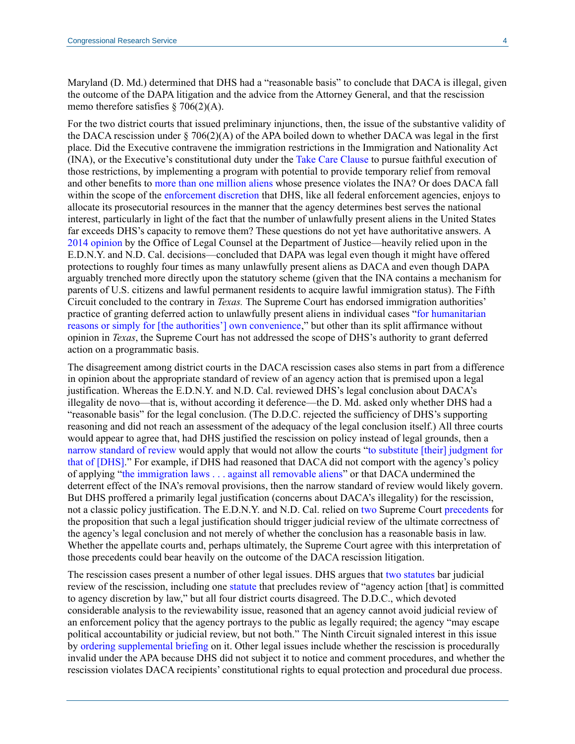Maryland (D. Md.) determined that DHS had a "reasonable basis" to conclude that DACA is illegal, given the outcome of the DAPA litigation and the advice from the Attorney General, and that the rescission memo therefore satisfies  $\S$  706(2)(A).

For the two district courts that issued preliminary injunctions, then, the issue of the substantive validity of the DACA rescission under § 706(2)(A) of the APA boiled down to whether DACA was legal in the first place. Did the Executive contravene the immigration restrictions in the Immigration and Nationality Act (INA), or the Executive's constitutional duty under the [Take Care Clause](https://fas.org/sgp/crs/misc/R43708.pdf) to pursue faithful execution of those restrictions, by implementing a program with potential to provide temporary relief from removal and other benefits to [more than one million aliens](https://www.migrationpolicy.org/programs/data-hub/deferred-action-childhood-arrivals-daca-profiles) whose presence violates the INA? Or does DACA fall within the scope of the [enforcement discretion](https://fas.org/sgp/crs/homesec/R45158.pdf) that DHS, like all federal enforcement agencies, enjoys to allocate its prosecutorial resources in the manner that the agency determines best serves the national interest, particularly in light of the fact that the number of unlawfully present aliens in the United States far exceeds DHS's capacity to remove them? These questions do not yet have authoritative answers. A [2014 opinion](https://www.justice.gov/file/179206/download) by the Office of Legal Counsel at the Department of Justice—heavily relied upon in the E.D.N.Y. and N.D. Cal. decisions—concluded that DAPA was legal even though it might have offered protections to roughly four times as many unlawfully present aliens as DACA and even though DAPA arguably trenched more directly upon the statutory scheme (given that the INA contains a mechanism for parents of U.S. citizens and lawful permanent residents to acquire lawful immigration status). The Fifth Circuit concluded to the contrary in *Texas.* The Supreme Court has endorsed immigration authorities' practice of granting deferred action to unlawfully present aliens in individual cases ["for humanitarian](https://www.law.cornell.edu/supct/pdf/97-1252P.ZO)  [reasons or simply for \[the authorities'\] own convenience,](https://www.law.cornell.edu/supct/pdf/97-1252P.ZO)" but other than its split affirmance without opinion in *Texas*, the Supreme Court has not addressed the scope of DHS's authority to grant deferred action on a programmatic basis.

The disagreement among district courts in the DACA rescission cases also stems in part from a difference in opinion about the appropriate standard of review of an agency action that is premised upon a legal justification. Whereas the E.D.N.Y. and N.D. Cal. reviewed DHS's legal conclusion about DACA's illegality de novo—that is, without according it deference—the D. Md. asked only whether DHS had a "reasonable basis" for the legal conclusion. (The D.D.C. rejected the sufficiency of DHS's supporting reasoning and did not reach an assessment of the adequacy of the legal conclusion itself.) All three courts would appear to agree that, had DHS justified the rescission on policy instead of legal grounds, then a narrow [standard of review](https://fas.org/sgp/crs/misc/R44699.pdf) would apply that would not allow the courts ["to substitute \[their\] judgment for](https://supreme.justia.com/cases/federal/us/463/29/case.html)  [that of \[DHS\].](https://supreme.justia.com/cases/federal/us/463/29/case.html)" For example, if DHS had reasoned that DACA did not comport with the agency's policy of applying ["the immigration laws . . . against all removable aliens"](https://www.dhs.gov/sites/default/files/publications/17_0220_S1_Enforcement-of-the-Immigration-Laws-to-Serve-the-National-Interest.pdf) or that DACA undermined the deterrent effect of the INA's removal provisions, then the narrow standard of review would likely govern. But DHS proffered a primarily legal justification (concerns about DACA's illegality) for the rescission, not a classic policy justification. The E.D.N.Y. and N.D. Cal. relied on [two](https://www.law.cornell.edu/supct/pdf/05-1120P.ZO#page=24) Supreme Court [precedents](https://supreme.justia.com/cases/federal/us/318/80/case.html) for the proposition that such a legal justification should trigger judicial review of the ultimate correctness of the agency's legal conclusion and not merely of whether the conclusion has a reasonable basis in law. Whether the appellate courts and, perhaps ultimately, the Supreme Court agree with this interpretation of those precedents could bear heavily on the outcome of the DACA rescission litigation.

The rescission cases present a number of other legal issues. DHS argues that [two](https://www.law.cornell.edu/uscode/text/8/1252) [statutes](https://www.law.cornell.edu/uscode/text/5/701) bar judicial review of the rescission, including one [statute](https://www.law.cornell.edu/uscode/text/5/701) that precludes review of "agency action [that] is committed to agency discretion by law," but all four district courts disagreed. The D.D.C., which devoted considerable analysis to the reviewability issue, reasoned that an agency cannot avoid judicial review of an enforcement policy that the agency portrays to the public as legally required; the agency "may escape political accountability or judicial review, but not both." The Ninth Circuit signaled interest in this issue by [ordering supplemental briefing](http://cdn.ca9.uscourts.gov/datastore/general/2018/05/14/18-15068%20supplemental%20order%205-1.pdf) on it. Other legal issues include whether the rescission is procedurally invalid under the APA because DHS did not subject it to notice and comment procedures, and whether the rescission violates DACA recipients' constitutional rights to equal protection and procedural due process.